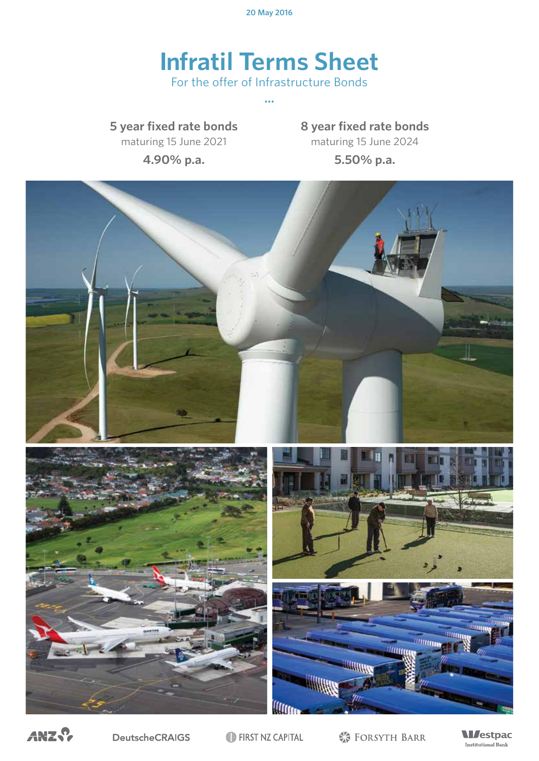**20 May 2016**

# **Infratil Terms Sheet**

For the offer of Infrastructure Bonds **…**

**5 year fixed rate bonds** maturing 15 June 2021

**8 year fixed rate bonds**

maturing 15 June 2024 **5.50% p.a.**



**ANZY** 

**DeutscheCRAIGS** 

FIRST NZ CAPITAL

**《 FORSYTH BARR** 

**Mestpac** Institutional Bank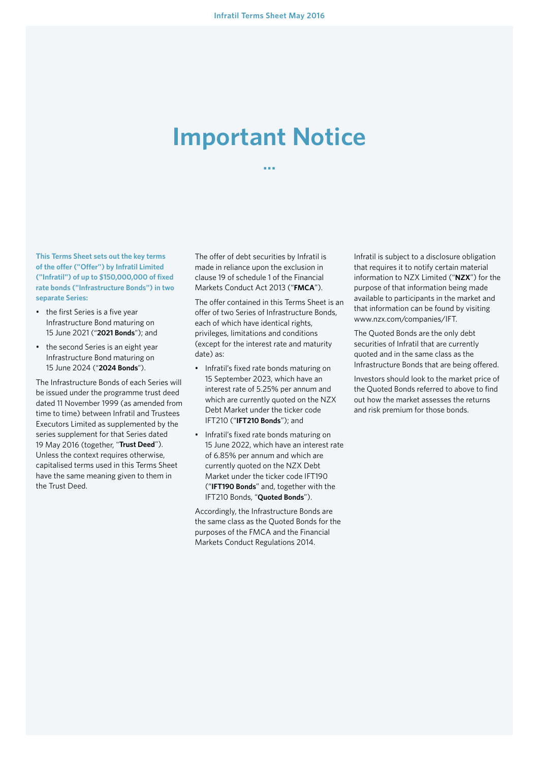## **Important Notice**

**…**

**This Terms Sheet sets out the key terms of the offer ("Offer") by Infratil Limited ("Infratil") of up to \$150,000,000 of fixed rate bonds ("Infrastructure Bonds") in two separate Series:** 

- the first Series is a five year Infrastructure Bond maturing on 15 June 2021 ("**2021 Bonds**"); and
- the second Series is an eight year Infrastructure Bond maturing on 15 June 2024 ("**2024 Bonds**").

The Infrastructure Bonds of each Series will be issued under the programme trust deed dated 11 November 1999 (as amended from time to time) between Infratil and Trustees Executors Limited as supplemented by the series supplement for that Series dated 19 May 2016 (together, "**Trust Deed**"). Unless the context requires otherwise, capitalised terms used in this Terms Sheet have the same meaning given to them in the Trust Deed.

The offer of debt securities by Infratil is made in reliance upon the exclusion in clause 19 of schedule 1 of the Financial Markets Conduct Act 2013 ("**FMCA**").

The offer contained in this Terms Sheet is an offer of two Series of Infrastructure Bonds, each of which have identical rights, privileges, limitations and conditions (except for the interest rate and maturity date) as:

- Infratil's fixed rate bonds maturing on 15 September 2023, which have an interest rate of 5.25% per annum and which are currently quoted on the NZX Debt Market under the ticker code IFT210 ("**IFT210 Bonds**"); and
- Infratil's fixed rate bonds maturing on 15 June 2022, which have an interest rate of 6.85% per annum and which are currently quoted on the NZX Debt Market under the ticker code IFT190 ("**IFT190 Bonds**" and, together with the IFT210 Bonds, "**Quoted Bonds**").

Accordingly, the Infrastructure Bonds are the same class as the Quoted Bonds for the purposes of the FMCA and the Financial Markets Conduct Regulations 2014.

Infratil is subject to a disclosure obligation that requires it to notify certain material information to NZX Limited ("**NZX**") for the purpose of that information being made available to participants in the market and that information can be found by visiting www.nzx.com/companies/IFT.

The Quoted Bonds are the only debt securities of Infratil that are currently quoted and in the same class as the Infrastructure Bonds that are being offered.

Investors should look to the market price of the Quoted Bonds referred to above to find out how the market assesses the returns and risk premium for those bonds.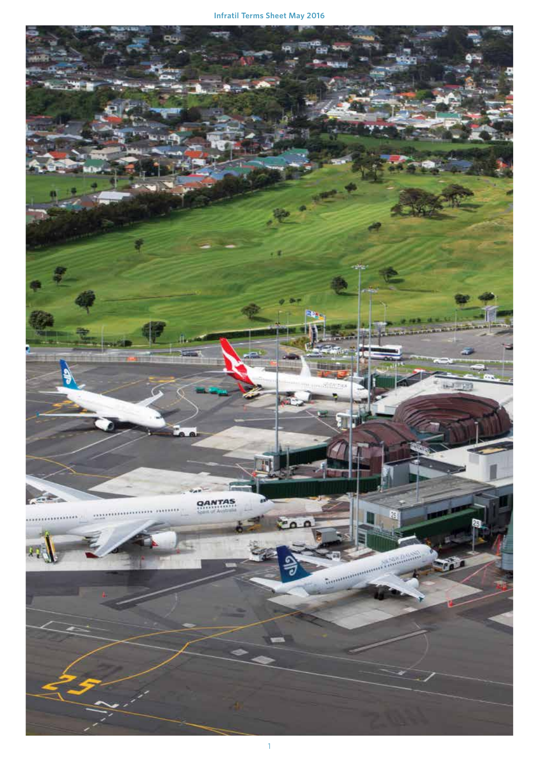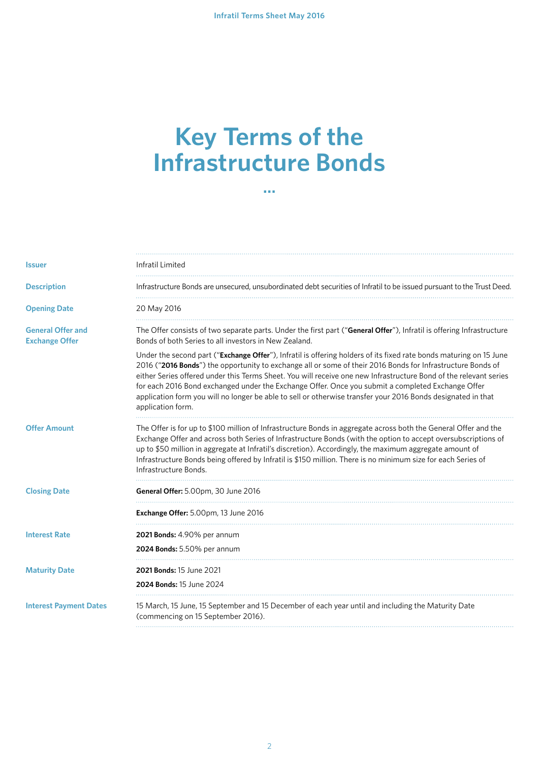# **Key Terms of the Infrastructure Bonds**

**…**

| <b>Issuer</b>                                     | Infratil Limited                                                                                                                                                                                                                                                                                                                                                                                                                                                                                                                                                                                 |  |  |  |  |  |
|---------------------------------------------------|--------------------------------------------------------------------------------------------------------------------------------------------------------------------------------------------------------------------------------------------------------------------------------------------------------------------------------------------------------------------------------------------------------------------------------------------------------------------------------------------------------------------------------------------------------------------------------------------------|--|--|--|--|--|
| <b>Description</b>                                | Infrastructure Bonds are unsecured, unsubordinated debt securities of Infratil to be issued pursuant to the Trust Deed.                                                                                                                                                                                                                                                                                                                                                                                                                                                                          |  |  |  |  |  |
| <b>Opening Date</b>                               | 20 May 2016                                                                                                                                                                                                                                                                                                                                                                                                                                                                                                                                                                                      |  |  |  |  |  |
| <b>General Offer and</b><br><b>Exchange Offer</b> | The Offer consists of two separate parts. Under the first part ("General Offer"), Infratil is offering Infrastructure<br>Bonds of both Series to all investors in New Zealand.                                                                                                                                                                                                                                                                                                                                                                                                                   |  |  |  |  |  |
|                                                   | Under the second part ("Exchange Offer"), Infratil is offering holders of its fixed rate bonds maturing on 15 June<br>2016 ("2016 Bonds") the opportunity to exchange all or some of their 2016 Bonds for Infrastructure Bonds of<br>either Series offered under this Terms Sheet. You will receive one new Infrastructure Bond of the relevant series<br>for each 2016 Bond exchanged under the Exchange Offer. Once you submit a completed Exchange Offer<br>application form you will no longer be able to sell or otherwise transfer your 2016 Bonds designated in that<br>application form. |  |  |  |  |  |
| <b>Offer Amount</b>                               | The Offer is for up to \$100 million of Infrastructure Bonds in aggregate across both the General Offer and the<br>Exchange Offer and across both Series of Infrastructure Bonds (with the option to accept oversubscriptions of<br>up to \$50 million in aggregate at Infratil's discretion). Accordingly, the maximum aggregate amount of<br>Infrastructure Bonds being offered by Infratil is \$150 million. There is no minimum size for each Series of<br>Infrastructure Bonds.                                                                                                             |  |  |  |  |  |
| <b>Closing Date</b>                               | General Offer: 5.00pm, 30 June 2016                                                                                                                                                                                                                                                                                                                                                                                                                                                                                                                                                              |  |  |  |  |  |
|                                                   | Exchange Offer: 5.00pm, 13 June 2016                                                                                                                                                                                                                                                                                                                                                                                                                                                                                                                                                             |  |  |  |  |  |
| <b>Interest Rate</b>                              | 2021 Bonds: 4.90% per annum                                                                                                                                                                                                                                                                                                                                                                                                                                                                                                                                                                      |  |  |  |  |  |
|                                                   | 2024 Bonds: 5.50% per annum                                                                                                                                                                                                                                                                                                                                                                                                                                                                                                                                                                      |  |  |  |  |  |
| <b>Maturity Date</b>                              | 2021 Bonds: 15 June 2021                                                                                                                                                                                                                                                                                                                                                                                                                                                                                                                                                                         |  |  |  |  |  |
|                                                   | 2024 Bonds: 15 June 2024                                                                                                                                                                                                                                                                                                                                                                                                                                                                                                                                                                         |  |  |  |  |  |
| <b>Interest Payment Dates</b>                     | 15 March, 15 June, 15 September and 15 December of each year until and including the Maturity Date<br>(commencing on 15 September 2016).                                                                                                                                                                                                                                                                                                                                                                                                                                                         |  |  |  |  |  |
|                                                   |                                                                                                                                                                                                                                                                                                                                                                                                                                                                                                                                                                                                  |  |  |  |  |  |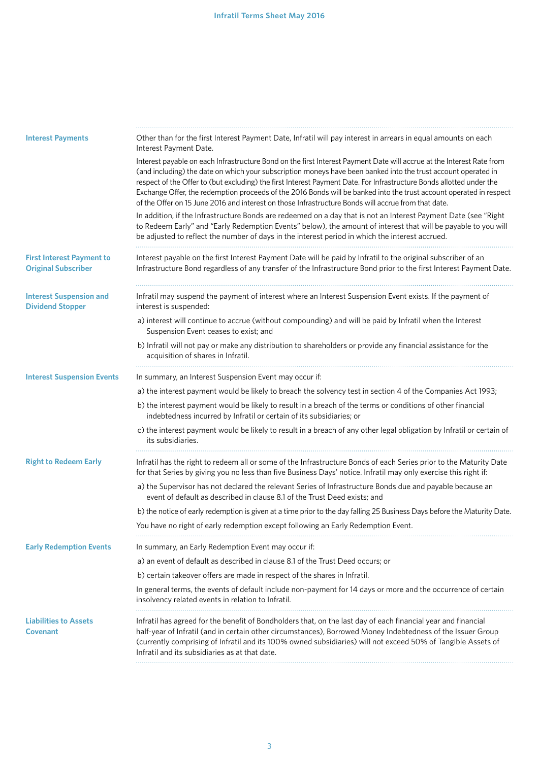| Interest payable on each Infrastructure Bond on the first Interest Payment Date will accrue at the Interest Rate from<br>(and including) the date on which your subscription moneys have been banked into the trust account operated in<br>respect of the Offer to (but excluding) the first Interest Payment Date. For Infrastructure Bonds allotted under the<br>Exchange Offer, the redemption proceeds of the 2016 Bonds will be banked into the trust account operated in respect<br>of the Offer on 15 June 2016 and interest on those Infrastructure Bonds will accrue from that date.<br>In addition, if the Infrastructure Bonds are redeemed on a day that is not an Interest Payment Date (see "Right<br>to Redeem Early" and "Early Redemption Events" below), the amount of interest that will be payable to you will<br>be adjusted to reflect the number of days in the interest period in which the interest accrued.<br>Interest payable on the first Interest Payment Date will be paid by Infratil to the original subscriber of an<br><b>First Interest Payment to</b><br><b>Original Subscriber</b><br>Infrastructure Bond regardless of any transfer of the Infrastructure Bond prior to the first Interest Payment Date.<br><b>Interest Suspension and</b><br>Infratil may suspend the payment of interest where an Interest Suspension Event exists. If the payment of<br><b>Dividend Stopper</b><br>interest is suspended:<br>a) interest will continue to accrue (without compounding) and will be paid by Infratil when the Interest<br>Suspension Event ceases to exist; and<br>b) Infratil will not pay or make any distribution to shareholders or provide any financial assistance for the<br>acquisition of shares in Infratil.<br><b>Interest Suspension Events</b><br>In summary, an Interest Suspension Event may occur if:<br>a) the interest payment would be likely to breach the solvency test in section 4 of the Companies Act 1993;<br>b) the interest payment would be likely to result in a breach of the terms or conditions of other financial<br>indebtedness incurred by Infratil or certain of its subsidiaries; or<br>c) the interest payment would be likely to result in a breach of any other legal obligation by Infratil or certain of<br>its subsidiaries.<br><b>Right to Redeem Early</b><br>Infratil has the right to redeem all or some of the Infrastructure Bonds of each Series prior to the Maturity Date<br>for that Series by giving you no less than five Business Days' notice. Infratil may only exercise this right if:<br>a) the Supervisor has not declared the relevant Series of Infrastructure Bonds due and payable because an<br>event of default as described in clause 8.1 of the Trust Deed exists; and<br>b) the notice of early redemption is given at a time prior to the day falling 25 Business Days before the Maturity Date.<br>You have no right of early redemption except following an Early Redemption Event.<br>In summary, an Early Redemption Event may occur if:<br><b>Early Redemption Events</b><br>a) an event of default as described in clause 8.1 of the Trust Deed occurs; or<br>b) certain takeover offers are made in respect of the shares in Infratil.<br>In general terms, the events of default include non-payment for 14 days or more and the occurrence of certain<br>insolvency related events in relation to Infratil.<br>Infratil has agreed for the benefit of Bondholders that, on the last day of each financial year and financial<br><b>Liabilities to Assets</b><br>half-year of Infratil (and in certain other circumstances), Borrowed Money Indebtedness of the Issuer Group<br><b>Covenant</b><br>(currently comprising of Infratil and its 100% owned subsidiaries) will not exceed 50% of Tangible Assets of<br>Infratil and its subsidiaries as at that date. | <b>Interest Payments</b> | Other than for the first Interest Payment Date, Infratil will pay interest in arrears in equal amounts on each<br>Interest Payment Date. |  |  |  |  |
|---------------------------------------------------------------------------------------------------------------------------------------------------------------------------------------------------------------------------------------------------------------------------------------------------------------------------------------------------------------------------------------------------------------------------------------------------------------------------------------------------------------------------------------------------------------------------------------------------------------------------------------------------------------------------------------------------------------------------------------------------------------------------------------------------------------------------------------------------------------------------------------------------------------------------------------------------------------------------------------------------------------------------------------------------------------------------------------------------------------------------------------------------------------------------------------------------------------------------------------------------------------------------------------------------------------------------------------------------------------------------------------------------------------------------------------------------------------------------------------------------------------------------------------------------------------------------------------------------------------------------------------------------------------------------------------------------------------------------------------------------------------------------------------------------------------------------------------------------------------------------------------------------------------------------------------------------------------------------------------------------------------------------------------------------------------------------------------------------------------------------------------------------------------------------------------------------------------------------------------------------------------------------------------------------------------------------------------------------------------------------------------------------------------------------------------------------------------------------------------------------------------------------------------------------------------------------------------------------------------------------------------------------------------------------------------------------------------------------------------------------------------------------------------------------------------------------------------------------------------------------------------------------------------------------------------------------------------------------------------------------------------------------------------------------------------------------------------------------------------------------------------------------------------------------------------------------------------------------------------------------------------------------------------------------------------------------------------------------------------------------------------------------------------------------------------------------------------------------------------------------------------------------------------------------------------------------------------------------------------------------------------------------------------------------------------------------------------------------------------------------------------------------------------------------------------------------------------------------------------------------------------------|--------------------------|------------------------------------------------------------------------------------------------------------------------------------------|--|--|--|--|
|                                                                                                                                                                                                                                                                                                                                                                                                                                                                                                                                                                                                                                                                                                                                                                                                                                                                                                                                                                                                                                                                                                                                                                                                                                                                                                                                                                                                                                                                                                                                                                                                                                                                                                                                                                                                                                                                                                                                                                                                                                                                                                                                                                                                                                                                                                                                                                                                                                                                                                                                                                                                                                                                                                                                                                                                                                                                                                                                                                                                                                                                                                                                                                                                                                                                                                                                                                                                                                                                                                                                                                                                                                                                                                                                                                                                                                                                                             |                          |                                                                                                                                          |  |  |  |  |
|                                                                                                                                                                                                                                                                                                                                                                                                                                                                                                                                                                                                                                                                                                                                                                                                                                                                                                                                                                                                                                                                                                                                                                                                                                                                                                                                                                                                                                                                                                                                                                                                                                                                                                                                                                                                                                                                                                                                                                                                                                                                                                                                                                                                                                                                                                                                                                                                                                                                                                                                                                                                                                                                                                                                                                                                                                                                                                                                                                                                                                                                                                                                                                                                                                                                                                                                                                                                                                                                                                                                                                                                                                                                                                                                                                                                                                                                                             |                          |                                                                                                                                          |  |  |  |  |
|                                                                                                                                                                                                                                                                                                                                                                                                                                                                                                                                                                                                                                                                                                                                                                                                                                                                                                                                                                                                                                                                                                                                                                                                                                                                                                                                                                                                                                                                                                                                                                                                                                                                                                                                                                                                                                                                                                                                                                                                                                                                                                                                                                                                                                                                                                                                                                                                                                                                                                                                                                                                                                                                                                                                                                                                                                                                                                                                                                                                                                                                                                                                                                                                                                                                                                                                                                                                                                                                                                                                                                                                                                                                                                                                                                                                                                                                                             |                          |                                                                                                                                          |  |  |  |  |
|                                                                                                                                                                                                                                                                                                                                                                                                                                                                                                                                                                                                                                                                                                                                                                                                                                                                                                                                                                                                                                                                                                                                                                                                                                                                                                                                                                                                                                                                                                                                                                                                                                                                                                                                                                                                                                                                                                                                                                                                                                                                                                                                                                                                                                                                                                                                                                                                                                                                                                                                                                                                                                                                                                                                                                                                                                                                                                                                                                                                                                                                                                                                                                                                                                                                                                                                                                                                                                                                                                                                                                                                                                                                                                                                                                                                                                                                                             |                          |                                                                                                                                          |  |  |  |  |
|                                                                                                                                                                                                                                                                                                                                                                                                                                                                                                                                                                                                                                                                                                                                                                                                                                                                                                                                                                                                                                                                                                                                                                                                                                                                                                                                                                                                                                                                                                                                                                                                                                                                                                                                                                                                                                                                                                                                                                                                                                                                                                                                                                                                                                                                                                                                                                                                                                                                                                                                                                                                                                                                                                                                                                                                                                                                                                                                                                                                                                                                                                                                                                                                                                                                                                                                                                                                                                                                                                                                                                                                                                                                                                                                                                                                                                                                                             |                          |                                                                                                                                          |  |  |  |  |
|                                                                                                                                                                                                                                                                                                                                                                                                                                                                                                                                                                                                                                                                                                                                                                                                                                                                                                                                                                                                                                                                                                                                                                                                                                                                                                                                                                                                                                                                                                                                                                                                                                                                                                                                                                                                                                                                                                                                                                                                                                                                                                                                                                                                                                                                                                                                                                                                                                                                                                                                                                                                                                                                                                                                                                                                                                                                                                                                                                                                                                                                                                                                                                                                                                                                                                                                                                                                                                                                                                                                                                                                                                                                                                                                                                                                                                                                                             |                          |                                                                                                                                          |  |  |  |  |
|                                                                                                                                                                                                                                                                                                                                                                                                                                                                                                                                                                                                                                                                                                                                                                                                                                                                                                                                                                                                                                                                                                                                                                                                                                                                                                                                                                                                                                                                                                                                                                                                                                                                                                                                                                                                                                                                                                                                                                                                                                                                                                                                                                                                                                                                                                                                                                                                                                                                                                                                                                                                                                                                                                                                                                                                                                                                                                                                                                                                                                                                                                                                                                                                                                                                                                                                                                                                                                                                                                                                                                                                                                                                                                                                                                                                                                                                                             |                          |                                                                                                                                          |  |  |  |  |
|                                                                                                                                                                                                                                                                                                                                                                                                                                                                                                                                                                                                                                                                                                                                                                                                                                                                                                                                                                                                                                                                                                                                                                                                                                                                                                                                                                                                                                                                                                                                                                                                                                                                                                                                                                                                                                                                                                                                                                                                                                                                                                                                                                                                                                                                                                                                                                                                                                                                                                                                                                                                                                                                                                                                                                                                                                                                                                                                                                                                                                                                                                                                                                                                                                                                                                                                                                                                                                                                                                                                                                                                                                                                                                                                                                                                                                                                                             |                          |                                                                                                                                          |  |  |  |  |
|                                                                                                                                                                                                                                                                                                                                                                                                                                                                                                                                                                                                                                                                                                                                                                                                                                                                                                                                                                                                                                                                                                                                                                                                                                                                                                                                                                                                                                                                                                                                                                                                                                                                                                                                                                                                                                                                                                                                                                                                                                                                                                                                                                                                                                                                                                                                                                                                                                                                                                                                                                                                                                                                                                                                                                                                                                                                                                                                                                                                                                                                                                                                                                                                                                                                                                                                                                                                                                                                                                                                                                                                                                                                                                                                                                                                                                                                                             |                          |                                                                                                                                          |  |  |  |  |
|                                                                                                                                                                                                                                                                                                                                                                                                                                                                                                                                                                                                                                                                                                                                                                                                                                                                                                                                                                                                                                                                                                                                                                                                                                                                                                                                                                                                                                                                                                                                                                                                                                                                                                                                                                                                                                                                                                                                                                                                                                                                                                                                                                                                                                                                                                                                                                                                                                                                                                                                                                                                                                                                                                                                                                                                                                                                                                                                                                                                                                                                                                                                                                                                                                                                                                                                                                                                                                                                                                                                                                                                                                                                                                                                                                                                                                                                                             |                          |                                                                                                                                          |  |  |  |  |
|                                                                                                                                                                                                                                                                                                                                                                                                                                                                                                                                                                                                                                                                                                                                                                                                                                                                                                                                                                                                                                                                                                                                                                                                                                                                                                                                                                                                                                                                                                                                                                                                                                                                                                                                                                                                                                                                                                                                                                                                                                                                                                                                                                                                                                                                                                                                                                                                                                                                                                                                                                                                                                                                                                                                                                                                                                                                                                                                                                                                                                                                                                                                                                                                                                                                                                                                                                                                                                                                                                                                                                                                                                                                                                                                                                                                                                                                                             |                          |                                                                                                                                          |  |  |  |  |
|                                                                                                                                                                                                                                                                                                                                                                                                                                                                                                                                                                                                                                                                                                                                                                                                                                                                                                                                                                                                                                                                                                                                                                                                                                                                                                                                                                                                                                                                                                                                                                                                                                                                                                                                                                                                                                                                                                                                                                                                                                                                                                                                                                                                                                                                                                                                                                                                                                                                                                                                                                                                                                                                                                                                                                                                                                                                                                                                                                                                                                                                                                                                                                                                                                                                                                                                                                                                                                                                                                                                                                                                                                                                                                                                                                                                                                                                                             |                          |                                                                                                                                          |  |  |  |  |
|                                                                                                                                                                                                                                                                                                                                                                                                                                                                                                                                                                                                                                                                                                                                                                                                                                                                                                                                                                                                                                                                                                                                                                                                                                                                                                                                                                                                                                                                                                                                                                                                                                                                                                                                                                                                                                                                                                                                                                                                                                                                                                                                                                                                                                                                                                                                                                                                                                                                                                                                                                                                                                                                                                                                                                                                                                                                                                                                                                                                                                                                                                                                                                                                                                                                                                                                                                                                                                                                                                                                                                                                                                                                                                                                                                                                                                                                                             |                          |                                                                                                                                          |  |  |  |  |
|                                                                                                                                                                                                                                                                                                                                                                                                                                                                                                                                                                                                                                                                                                                                                                                                                                                                                                                                                                                                                                                                                                                                                                                                                                                                                                                                                                                                                                                                                                                                                                                                                                                                                                                                                                                                                                                                                                                                                                                                                                                                                                                                                                                                                                                                                                                                                                                                                                                                                                                                                                                                                                                                                                                                                                                                                                                                                                                                                                                                                                                                                                                                                                                                                                                                                                                                                                                                                                                                                                                                                                                                                                                                                                                                                                                                                                                                                             |                          |                                                                                                                                          |  |  |  |  |
|                                                                                                                                                                                                                                                                                                                                                                                                                                                                                                                                                                                                                                                                                                                                                                                                                                                                                                                                                                                                                                                                                                                                                                                                                                                                                                                                                                                                                                                                                                                                                                                                                                                                                                                                                                                                                                                                                                                                                                                                                                                                                                                                                                                                                                                                                                                                                                                                                                                                                                                                                                                                                                                                                                                                                                                                                                                                                                                                                                                                                                                                                                                                                                                                                                                                                                                                                                                                                                                                                                                                                                                                                                                                                                                                                                                                                                                                                             |                          |                                                                                                                                          |  |  |  |  |
|                                                                                                                                                                                                                                                                                                                                                                                                                                                                                                                                                                                                                                                                                                                                                                                                                                                                                                                                                                                                                                                                                                                                                                                                                                                                                                                                                                                                                                                                                                                                                                                                                                                                                                                                                                                                                                                                                                                                                                                                                                                                                                                                                                                                                                                                                                                                                                                                                                                                                                                                                                                                                                                                                                                                                                                                                                                                                                                                                                                                                                                                                                                                                                                                                                                                                                                                                                                                                                                                                                                                                                                                                                                                                                                                                                                                                                                                                             |                          |                                                                                                                                          |  |  |  |  |
|                                                                                                                                                                                                                                                                                                                                                                                                                                                                                                                                                                                                                                                                                                                                                                                                                                                                                                                                                                                                                                                                                                                                                                                                                                                                                                                                                                                                                                                                                                                                                                                                                                                                                                                                                                                                                                                                                                                                                                                                                                                                                                                                                                                                                                                                                                                                                                                                                                                                                                                                                                                                                                                                                                                                                                                                                                                                                                                                                                                                                                                                                                                                                                                                                                                                                                                                                                                                                                                                                                                                                                                                                                                                                                                                                                                                                                                                                             |                          |                                                                                                                                          |  |  |  |  |
|                                                                                                                                                                                                                                                                                                                                                                                                                                                                                                                                                                                                                                                                                                                                                                                                                                                                                                                                                                                                                                                                                                                                                                                                                                                                                                                                                                                                                                                                                                                                                                                                                                                                                                                                                                                                                                                                                                                                                                                                                                                                                                                                                                                                                                                                                                                                                                                                                                                                                                                                                                                                                                                                                                                                                                                                                                                                                                                                                                                                                                                                                                                                                                                                                                                                                                                                                                                                                                                                                                                                                                                                                                                                                                                                                                                                                                                                                             |                          |                                                                                                                                          |  |  |  |  |
|                                                                                                                                                                                                                                                                                                                                                                                                                                                                                                                                                                                                                                                                                                                                                                                                                                                                                                                                                                                                                                                                                                                                                                                                                                                                                                                                                                                                                                                                                                                                                                                                                                                                                                                                                                                                                                                                                                                                                                                                                                                                                                                                                                                                                                                                                                                                                                                                                                                                                                                                                                                                                                                                                                                                                                                                                                                                                                                                                                                                                                                                                                                                                                                                                                                                                                                                                                                                                                                                                                                                                                                                                                                                                                                                                                                                                                                                                             |                          |                                                                                                                                          |  |  |  |  |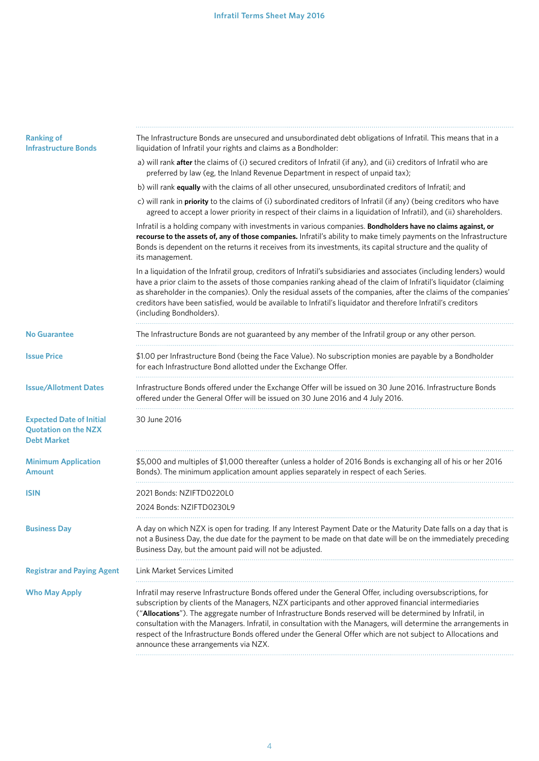| <b>Ranking of</b><br><b>Infrastructure Bonds</b>                                     | The Infrastructure Bonds are unsecured and unsubordinated debt obligations of Infratil. This means that in a<br>liquidation of Infratil your rights and claims as a Bondholder:                                                                                                                                                                                                                                                                                                                                                                                                                              |  |  |  |
|--------------------------------------------------------------------------------------|--------------------------------------------------------------------------------------------------------------------------------------------------------------------------------------------------------------------------------------------------------------------------------------------------------------------------------------------------------------------------------------------------------------------------------------------------------------------------------------------------------------------------------------------------------------------------------------------------------------|--|--|--|
|                                                                                      | a) will rank after the claims of (i) secured creditors of Infratil (if any), and (ii) creditors of Infratil who are<br>preferred by law (eg, the Inland Revenue Department in respect of unpaid tax);                                                                                                                                                                                                                                                                                                                                                                                                        |  |  |  |
|                                                                                      | b) will rank equally with the claims of all other unsecured, unsubordinated creditors of Infratil; and                                                                                                                                                                                                                                                                                                                                                                                                                                                                                                       |  |  |  |
|                                                                                      | c) will rank in <b>priority</b> to the claims of (i) subordinated creditors of Infratil (if any) (being creditors who have<br>agreed to accept a lower priority in respect of their claims in a liquidation of Infratil), and (ii) shareholders.                                                                                                                                                                                                                                                                                                                                                             |  |  |  |
|                                                                                      | Infratil is a holding company with investments in various companies. Bondholders have no claims against, or<br>recourse to the assets of, any of those companies. Infratil's ability to make timely payments on the Infrastructure<br>Bonds is dependent on the returns it receives from its investments, its capital structure and the quality of<br>its management.                                                                                                                                                                                                                                        |  |  |  |
|                                                                                      | In a liquidation of the Infratil group, creditors of Infratil's subsidiaries and associates (including lenders) would<br>have a prior claim to the assets of those companies ranking ahead of the claim of Infratil's liquidator (claiming<br>as shareholder in the companies). Only the residual assets of the companies, after the claims of the companies'<br>creditors have been satisfied, would be available to Infratil's liquidator and therefore Infratil's creditors<br>(including Bondholders).                                                                                                   |  |  |  |
| <b>No Guarantee</b>                                                                  | The Infrastructure Bonds are not guaranteed by any member of the Infratil group or any other person.                                                                                                                                                                                                                                                                                                                                                                                                                                                                                                         |  |  |  |
| <b>Issue Price</b>                                                                   | \$1.00 per Infrastructure Bond (being the Face Value). No subscription monies are payable by a Bondholder<br>for each Infrastructure Bond allotted under the Exchange Offer.                                                                                                                                                                                                                                                                                                                                                                                                                                 |  |  |  |
| <b>Issue/Allotment Dates</b>                                                         | Infrastructure Bonds offered under the Exchange Offer will be issued on 30 June 2016. Infrastructure Bonds<br>offered under the General Offer will be issued on 30 June 2016 and 4 July 2016.                                                                                                                                                                                                                                                                                                                                                                                                                |  |  |  |
| <b>Expected Date of Initial</b><br><b>Quotation on the NZX</b><br><b>Debt Market</b> | 30 June 2016                                                                                                                                                                                                                                                                                                                                                                                                                                                                                                                                                                                                 |  |  |  |
| <b>Minimum Application</b><br><b>Amount</b>                                          | \$5,000 and multiples of \$1,000 thereafter (unless a holder of 2016 Bonds is exchanging all of his or her 2016<br>Bonds). The minimum application amount applies separately in respect of each Series.                                                                                                                                                                                                                                                                                                                                                                                                      |  |  |  |
| <b>ISIN</b>                                                                          | 2021 Bonds: NZIFTD0220L0                                                                                                                                                                                                                                                                                                                                                                                                                                                                                                                                                                                     |  |  |  |
|                                                                                      | 2024 Bonds: NZIFTD0230L9                                                                                                                                                                                                                                                                                                                                                                                                                                                                                                                                                                                     |  |  |  |
| <b>Business Day</b>                                                                  | A day on which NZX is open for trading. If any Interest Payment Date or the Maturity Date falls on a day that is<br>not a Business Day, the due date for the payment to be made on that date will be on the immediately preceding<br>Business Day, but the amount paid will not be adjusted.                                                                                                                                                                                                                                                                                                                 |  |  |  |
| <b>Registrar and Paying Agent</b>                                                    | Link Market Services Limited                                                                                                                                                                                                                                                                                                                                                                                                                                                                                                                                                                                 |  |  |  |
| <b>Who May Apply</b>                                                                 | Infratil may reserve Infrastructure Bonds offered under the General Offer, including oversubscriptions, for<br>subscription by clients of the Managers, NZX participants and other approved financial intermediaries<br>("Allocations"). The aggregate number of Infrastructure Bonds reserved will be determined by Infratil, in<br>consultation with the Managers. Infratil, in consultation with the Managers, will determine the arrangements in<br>respect of the Infrastructure Bonds offered under the General Offer which are not subject to Allocations and<br>announce these arrangements via NZX. |  |  |  |
|                                                                                      |                                                                                                                                                                                                                                                                                                                                                                                                                                                                                                                                                                                                              |  |  |  |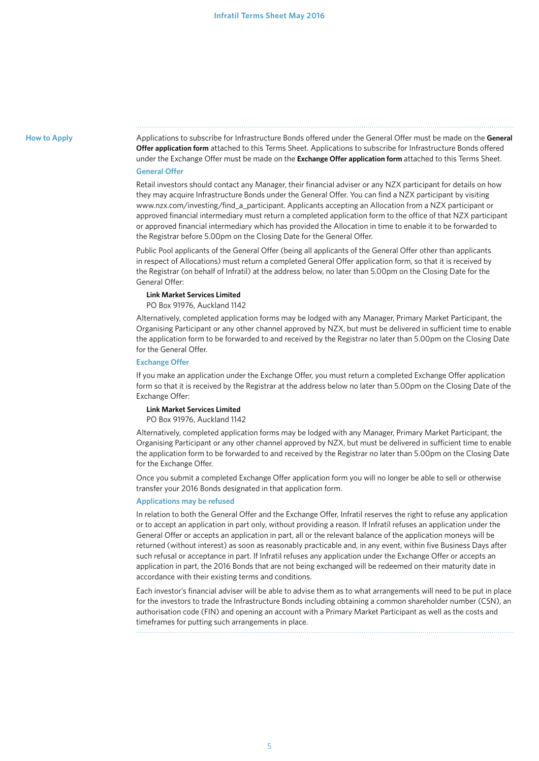**How to Apply** Applications to subscribe for Infrastructure Bonds offered under the General Offer must be made on the **General Offer application form** attached to this Terms Sheet. Applications to subscribe for Infrastructure Bonds offered under the Exchange Offer must be made on the **Exchange Offer application form** attached to this Terms Sheet. **General Offer**

Retail investors should contact any Manager, their financial adviser or any NZX participant for details on how they may acquire Infrastructure Bonds under the General Offer. You can find a NZX participant by visiting www.nzx.com/investing/find a participant. Applicants accepting an Allocation from a NZX participant or approved financial intermediary must return a completed application form to the office of that NZX participant or approved financial intermediary which has provided the Allocation in time to enable it to be forwarded to the Registrar before 5.00pm on the Closing Date for the General Offer.

Public Pool applicants of the General Offer (being all applicants of the General Offer other than applicants in respect of Allocations) must return a completed General Offer application form, so that it is received by the Registrar (on behalf of Infratil) at the address below, no later than 5.00pm on the Closing Date for the General Offer:

#### **Link Market Services Limited**

PO Box 91976, Auckland 1142

Alternatively, completed application forms may be lodged with any Manager, Primary Market Participant, the Organising Participant or any other channel approved by NZX, but must be delivered in sufficient time to enable the application form to be forwarded to and received by the Registrar no later than 5.00pm on the Closing Date for the General Offer.

#### **Exchange Offer**

If you make an application under the Exchange Offer, you must return a completed Exchange Offer application form so that it is received by the Registrar at the address below no later than 5.00pm on the Closing Date of the Exchange Offer:

### **Link Market Services Limited**

PO Box 91976, Auckland 1142

Alternatively, completed application forms may be lodged with any Manager, Primary Market Participant, the Organising Participant or any other channel approved by NZX, but must be delivered in sufficient time to enable the application form to be forwarded to and received by the Registrar no later than 5.00pm on the Closing Date for the Exchange Offer.

Once you submit a completed Exchange Offer application form you will no longer be able to sell or otherwise transfer your 2016 Bonds designated in that application form.

#### **Applications may be refused**

In relation to both the General Offer and the Exchange Offer, Infratil reserves the right to refuse any application or to accept an application in part only, without providing a reason. If Infratil refuses an application under the General Offer or accepts an application in part, all or the relevant balance of the application moneys will be returned (without interest) as soon as reasonably practicable and, in any event, within five Business Days after such refusal or acceptance in part. If Infratil refuses any application under the Exchange Offer or accepts an application in part, the 2016 Bonds that are not being exchanged will be redeemed on their maturity date in accordance with their existing terms and conditions.

Each investor's financial adviser will be able to advise them as to what arrangements will need to be put in place for the investors to trade the Infrastructure Bonds including obtaining a common shareholder number (CSN), an authorisation code (FIN) and opening an account with a Primary Market Participant as well as the costs and timeframes for putting such arrangements in place.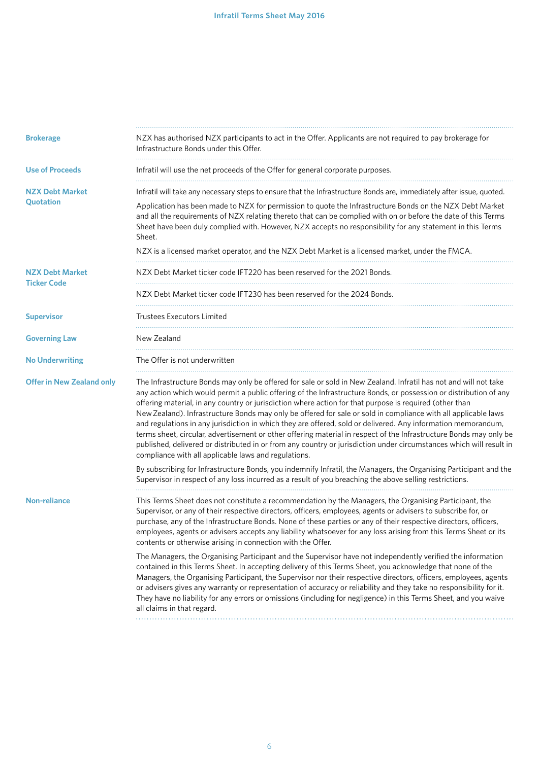| <b>Brokerage</b>                    | NZX has authorised NZX participants to act in the Offer. Applicants are not required to pay brokerage for<br>Infrastructure Bonds under this Offer.                                                                                                                                                                                                                                                                                                                                                                                                                                                                                                                                                                                                                                                                                                                                      |  |  |  |  |
|-------------------------------------|------------------------------------------------------------------------------------------------------------------------------------------------------------------------------------------------------------------------------------------------------------------------------------------------------------------------------------------------------------------------------------------------------------------------------------------------------------------------------------------------------------------------------------------------------------------------------------------------------------------------------------------------------------------------------------------------------------------------------------------------------------------------------------------------------------------------------------------------------------------------------------------|--|--|--|--|
| <b>Use of Proceeds</b>              | Infratil will use the net proceeds of the Offer for general corporate purposes.                                                                                                                                                                                                                                                                                                                                                                                                                                                                                                                                                                                                                                                                                                                                                                                                          |  |  |  |  |
| <b>NZX Debt Market</b><br>Quotation | Infratil will take any necessary steps to ensure that the Infrastructure Bonds are, immediately after issue, quoted.<br>Application has been made to NZX for permission to quote the Infrastructure Bonds on the NZX Debt Market<br>and all the requirements of NZX relating thereto that can be complied with on or before the date of this Terms<br>Sheet have been duly complied with. However, NZX accepts no responsibility for any statement in this Terms<br>Sheet.<br>NZX is a licensed market operator, and the NZX Debt Market is a licensed market, under the FMCA.                                                                                                                                                                                                                                                                                                           |  |  |  |  |
| <b>NZX Debt Market</b>              | NZX Debt Market ticker code IFT220 has been reserved for the 2021 Bonds.                                                                                                                                                                                                                                                                                                                                                                                                                                                                                                                                                                                                                                                                                                                                                                                                                 |  |  |  |  |
| <b>Ticker Code</b>                  | NZX Debt Market ticker code IFT230 has been reserved for the 2024 Bonds.                                                                                                                                                                                                                                                                                                                                                                                                                                                                                                                                                                                                                                                                                                                                                                                                                 |  |  |  |  |
| <b>Supervisor</b>                   | <b>Trustees Executors Limited</b>                                                                                                                                                                                                                                                                                                                                                                                                                                                                                                                                                                                                                                                                                                                                                                                                                                                        |  |  |  |  |
| <b>Governing Law</b>                | New Zealand                                                                                                                                                                                                                                                                                                                                                                                                                                                                                                                                                                                                                                                                                                                                                                                                                                                                              |  |  |  |  |
| <b>No Underwriting</b>              | The Offer is not underwritten                                                                                                                                                                                                                                                                                                                                                                                                                                                                                                                                                                                                                                                                                                                                                                                                                                                            |  |  |  |  |
| <b>Offer in New Zealand only</b>    | The Infrastructure Bonds may only be offered for sale or sold in New Zealand. Infratil has not and will not take<br>any action which would permit a public offering of the Infrastructure Bonds, or possession or distribution of any<br>offering material, in any country or jurisdiction where action for that purpose is required (other than<br>New Zealand). Infrastructure Bonds may only be offered for sale or sold in compliance with all applicable laws<br>and regulations in any jurisdiction in which they are offered, sold or delivered. Any information memorandum,<br>terms sheet, circular, advertisement or other offering material in respect of the Infrastructure Bonds may only be<br>published, delivered or distributed in or from any country or jurisdiction under circumstances which will result in<br>compliance with all applicable laws and regulations. |  |  |  |  |
|                                     | By subscribing for Infrastructure Bonds, you indemnify Infratil, the Managers, the Organising Participant and the<br>Supervisor in respect of any loss incurred as a result of you breaching the above selling restrictions.                                                                                                                                                                                                                                                                                                                                                                                                                                                                                                                                                                                                                                                             |  |  |  |  |
| <b>Non-reliance</b>                 | This Terms Sheet does not constitute a recommendation by the Managers, the Organising Participant, the<br>Supervisor, or any of their respective directors, officers, employees, agents or advisers to subscribe for, or<br>purchase, any of the Infrastructure Bonds. None of these parties or any of their respective directors, officers,<br>employees, agents or advisers accepts any liability whatsoever for any loss arising from this Terms Sheet or its<br>contents or otherwise arising in connection with the Offer.                                                                                                                                                                                                                                                                                                                                                          |  |  |  |  |
|                                     | The Managers, the Organising Participant and the Supervisor have not independently verified the information<br>contained in this Terms Sheet. In accepting delivery of this Terms Sheet, you acknowledge that none of the<br>Managers, the Organising Participant, the Supervisor nor their respective directors, officers, employees, agents<br>or advisers gives any warranty or representation of accuracy or reliability and they take no responsibility for it.<br>They have no liability for any errors or omissions (including for negligence) in this Terms Sheet, and you waive<br>all claims in that regard.                                                                                                                                                                                                                                                                   |  |  |  |  |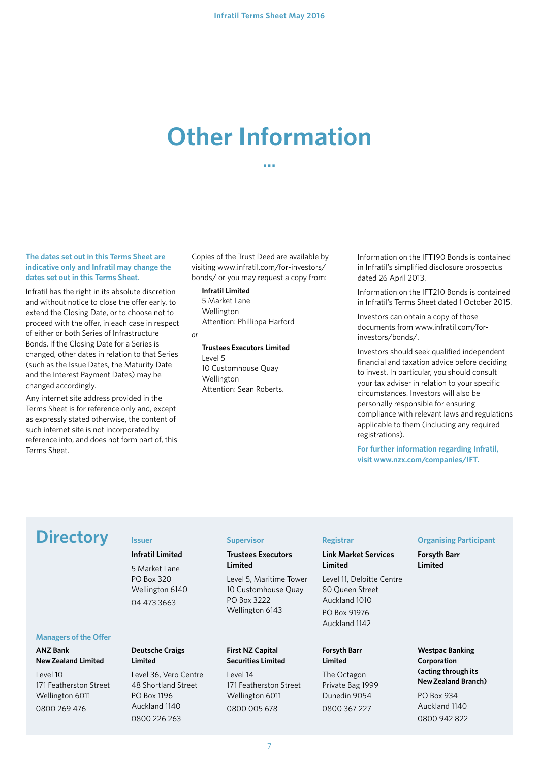# **Other Information**

**…**

**The dates set out in this Terms Sheet are indicative only and Infratil may change the dates set out in this Terms Sheet.** 

Infratil has the right in its absolute discretion and without notice to close the offer early, to extend the Closing Date, or to choose not to proceed with the offer, in each case in respect of either or both Series of Infrastructure Bonds. If the Closing Date for a Series is changed, other dates in relation to that Series (such as the Issue Dates, the Maturity Date and the Interest Payment Dates) may be changed accordingly.

Any internet site address provided in the Terms Sheet is for reference only and, except as expressly stated otherwise, the content of such internet site is not incorporated by reference into, and does not form part of, this Terms Sheet.

Copies of the Trust Deed are available by visiting www.infratil.com/for-investors/ bonds/ or you may request a copy from:

#### **Infratil Limited**

5 Market Lane Wellington Attention: Phillippa Harford

*or*

#### **Trustees Executors Limited** Level 5

10 Customhouse Quay Wellington Attention: Sean Roberts. Information on the IFT190 Bonds is contained in Infratil's simplified disclosure prospectus dated 26 April 2013.

Information on the IFT210 Bonds is contained in Infratil's Terms Sheet dated 1 October 2015.

Investors can obtain a copy of those documents from www.infratil.com/forinvestors/bonds/.

Investors should seek qualified independent financial and taxation advice before deciding to invest. In particular, you should consult your tax adviser in relation to your specific circumstances. Investors will also be personally responsible for ensuring compliance with relevant laws and regulations applicable to them (including any required registrations).

**For further information regarding Infratil, visit www.nzx.com/companies/IFT.**

### **Directory Issuer**

#### **Infratil Limited**

5 Market Lane

### **Managers of the Offer**

#### **ANZ Bank New Zealand Limited**

Level 10 171 Featherston Street Wellington 6011 0800 269 476

PO Box 320 Wellington 6140 04 473 3663

**Deutsche Craigs Limited**

Level 36, Vero Centre 48 Shortland Street PO Box 1196 Auckland 1140 0800 226 263

#### **Supervisor**

#### **Trustees Executors Limited**

Level 5, Maritime Tower 10 Customhouse Quay PO Box 3222 Wellington 6143

#### **First NZ Capital Securities Limited**

Level 14 171 Featherston Street Wellington 6011 0800 005 678

#### **Registrar**

#### **Link Market Services Limited**

Level 11, Deloitte Centre 80 Queen Street Auckland 1010 PO Box 91976 Auckland 1142

#### **Forsyth Barr Limited**

The Octagon Private Bag 1999 Dunedin 9054 0800 367 227

### **Organising Participant**

**Forsyth Barr Limited**

#### **Westpac Banking Corporation (acting through its New Zealand Branch)**

PO Box 934 Auckland 1140 0800 942 822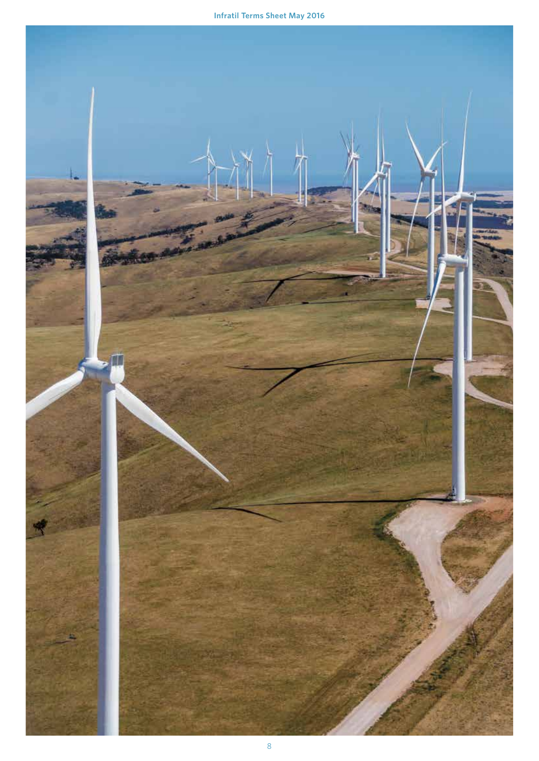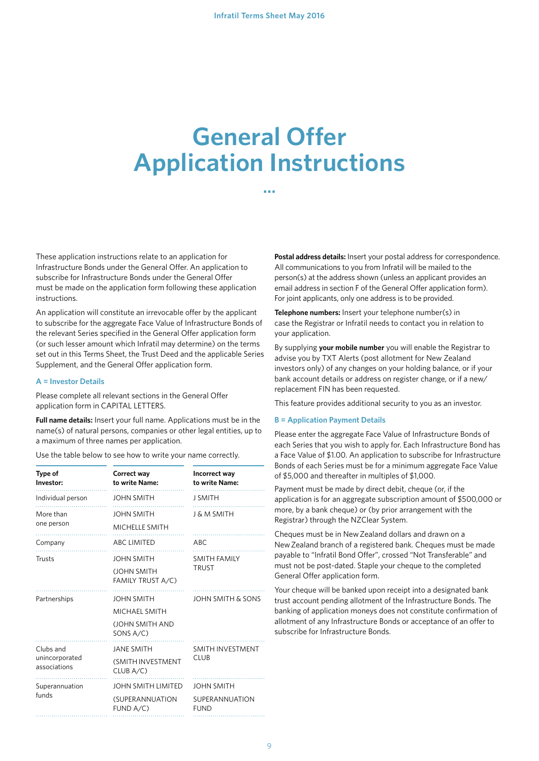# **General Offer Application Instructions**

**…**

These application instructions relate to an application for Infrastructure Bonds under the General Offer. An application to subscribe for Infrastructure Bonds under the General Offer must be made on the application form following these application instructions.

An application will constitute an irrevocable offer by the applicant to subscribe for the aggregate Face Value of Infrastructure Bonds of the relevant Series specified in the General Offer application form (or such lesser amount which Infratil may determine) on the terms set out in this Terms Sheet, the Trust Deed and the applicable Series Supplement, and the General Offer application form.

#### **A = Investor Details**

Please complete all relevant sections in the General Offer application form in CAPITAL LETTERS.

**Full name details:** Insert your full name. Applications must be in the name(s) of natural persons, companies or other legal entities, up to a maximum of three names per application.

Use the table below to see how to write your name correctly.

| Type of<br>Investor:                        | Correct way<br>to write Name:                                      | Incorrect way<br>to write Name:                    |  |
|---------------------------------------------|--------------------------------------------------------------------|----------------------------------------------------|--|
| Individual person                           | JOHN SMITH                                                         | J SMITH                                            |  |
| More than<br>one person                     | JOHN SMITH<br>MICHELLE SMITH                                       | <b>J &amp; M SMITH</b>                             |  |
| Company                                     | ABC LIMITED                                                        | ABC.                                               |  |
| <b>Trusts</b>                               | <b>JOHN SMITH</b><br>(JOHN SMITH<br>FAMILY TRUST A/C)              | <b>SMITH FAMILY</b><br><b>TRUST</b>                |  |
| Partnerships                                | <b>JOHN SMITH</b><br>MICHAEL SMITH<br>(JOHN SMITH AND<br>SONS A/C) | JOHN SMITH & SONS                                  |  |
| Clubs and<br>unincorporated<br>associations | <b>JANE SMITH</b><br>(SMITH INVESTMENT<br>CLUB A/C)                | SMITH INVESTMENT<br><b>CLUB</b>                    |  |
| Superannuation<br>funds                     | JOHN SMITH LIMITED<br><i><b>(SUPERANNUATION)</b></i><br>FUND A/C)  | <b>JOHN SMITH</b><br>SUPERANNUATION<br><b>FUND</b> |  |

**Postal address details:** Insert your postal address for correspondence. All communications to you from Infratil will be mailed to the person(s) at the address shown (unless an applicant provides an email address in section F of the General Offer application form). For joint applicants, only one address is to be provided.

**Telephone numbers:** Insert your telephone number(s) in case the Registrar or Infratil needs to contact you in relation to your application.

By supplying **your mobile number** you will enable the Registrar to advise you by TXT Alerts (post allotment for New Zealand investors only) of any changes on your holding balance, or if your bank account details or address on register change, or if a new/ replacement FIN has been requested.

This feature provides additional security to you as an investor.

#### **B = Application Payment Details**

Please enter the aggregate Face Value of Infrastructure Bonds of each Series that you wish to apply for. Each Infrastructure Bond has a Face Value of \$1.00. An application to subscribe for Infrastructure Bonds of each Series must be for a minimum aggregate Face Value of \$5,000 and thereafter in multiples of \$1,000.

Payment must be made by direct debit, cheque (or, if the application is for an aggregate subscription amount of \$500,000 or more, by a bank cheque) or (by prior arrangement with the Registrar) through the NZClear System.

Cheques must be in New Zealand dollars and drawn on a New Zealand branch of a registered bank. Cheques must be made payable to "Infratil Bond Offer", crossed "Not Transferable" and must not be post-dated. Staple your cheque to the completed General Offer application form.

Your cheque will be banked upon receipt into a designated bank trust account pending allotment of the Infrastructure Bonds. The banking of application moneys does not constitute confirmation of allotment of any Infrastructure Bonds or acceptance of an offer to subscribe for Infrastructure Bonds.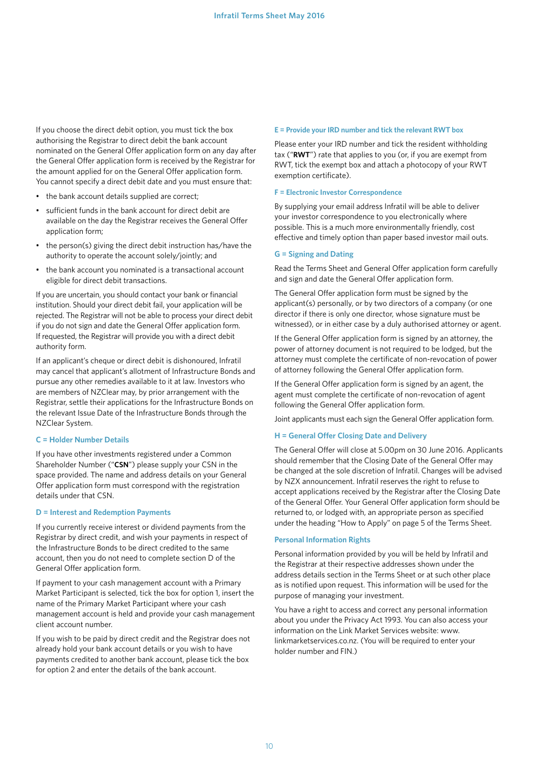If you choose the direct debit option, you must tick the box authorising the Registrar to direct debit the bank account nominated on the General Offer application form on any day after the General Offer application form is received by the Registrar for the amount applied for on the General Offer application form. You cannot specify a direct debit date and you must ensure that:

- the bank account details supplied are correct;
- sufficient funds in the bank account for direct debit are available on the day the Registrar receives the General Offer application form;
- the person(s) giving the direct debit instruction has/have the authority to operate the account solely/jointly; and
- the bank account you nominated is a transactional account eligible for direct debit transactions.

If you are uncertain, you should contact your bank or financial institution. Should your direct debit fail, your application will be rejected. The Registrar will not be able to process your direct debit if you do not sign and date the General Offer application form. If requested, the Registrar will provide you with a direct debit authority form.

If an applicant's cheque or direct debit is dishonoured, Infratil may cancel that applicant's allotment of Infrastructure Bonds and pursue any other remedies available to it at law. Investors who are members of NZClear may, by prior arrangement with the Registrar, settle their applications for the Infrastructure Bonds on the relevant Issue Date of the Infrastructure Bonds through the NZClear System.

#### **C = Holder Number Details**

If you have other investments registered under a Common Shareholder Number ("**CSN**") please supply your CSN in the space provided. The name and address details on your General Offer application form must correspond with the registration details under that CSN.

#### **D = Interest and Redemption Payments**

If you currently receive interest or dividend payments from the Registrar by direct credit, and wish your payments in respect of the Infrastructure Bonds to be direct credited to the same account, then you do not need to complete section D of the General Offer application form.

If payment to your cash management account with a Primary Market Participant is selected, tick the box for option 1, insert the name of the Primary Market Participant where your cash management account is held and provide your cash management client account number.

If you wish to be paid by direct credit and the Registrar does not already hold your bank account details or you wish to have payments credited to another bank account, please tick the box for option 2 and enter the details of the bank account.

#### **E = Provide your IRD number and tick the relevant RWT box**

Please enter your IRD number and tick the resident withholding tax ("**RWT**") rate that applies to you (or, if you are exempt from RWT, tick the exempt box and attach a photocopy of your RWT exemption certificate).

#### **F = Electronic Investor Correspondence**

By supplying your email address Infratil will be able to deliver your investor correspondence to you electronically where possible. This is a much more environmentally friendly, cost effective and timely option than paper based investor mail outs.

#### **G = Signing and Dating**

Read the Terms Sheet and General Offer application form carefully and sign and date the General Offer application form.

The General Offer application form must be signed by the applicant(s) personally, or by two directors of a company (or one director if there is only one director, whose signature must be witnessed), or in either case by a duly authorised attorney or agent.

If the General Offer application form is signed by an attorney, the power of attorney document is not required to be lodged, but the attorney must complete the certificate of non-revocation of power of attorney following the General Offer application form.

If the General Offer application form is signed by an agent, the agent must complete the certificate of non-revocation of agent following the General Offer application form.

Joint applicants must each sign the General Offer application form.

#### **H = General Offer Closing Date and Delivery**

The General Offer will close at 5.00pm on 30 June 2016. Applicants should remember that the Closing Date of the General Offer may be changed at the sole discretion of Infratil. Changes will be advised by NZX announcement. Infratil reserves the right to refuse to accept applications received by the Registrar after the Closing Date of the General Offer. Your General Offer application form should be returned to, or lodged with, an appropriate person as specified under the heading "How to Apply" on page 5 of the Terms Sheet.

#### **Personal Information Rights**

Personal information provided by you will be held by Infratil and the Registrar at their respective addresses shown under the address details section in the Terms Sheet or at such other place as is notified upon request. This information will be used for the purpose of managing your investment.

You have a right to access and correct any personal information about you under the Privacy Act 1993. You can also access your information on the Link Market Services website: www. linkmarketservices.co.nz. (You will be required to enter your holder number and FIN.)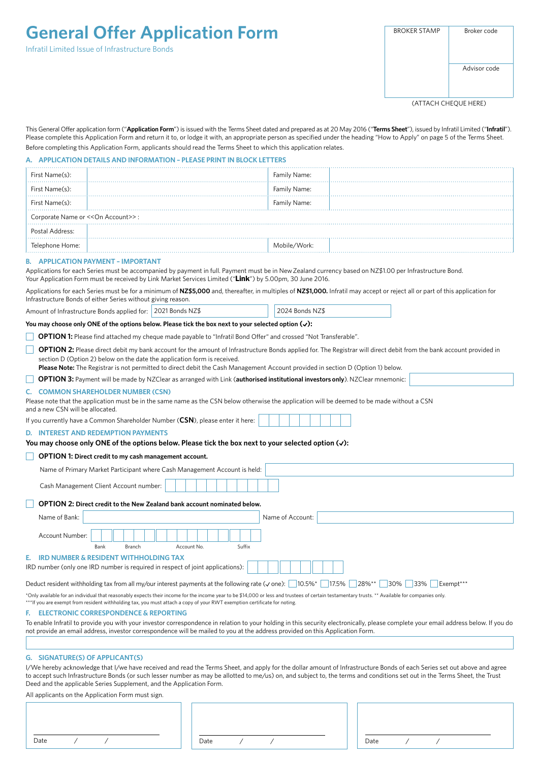## **General Offer Application Form**

Infratil Limited Issue of Infrastructure Bonds

Advisor code

(ATTACH CHEQUE HERE)

This General Offer application form ("**Application Form**") is issued with the Terms Sheet dated and prepared as at 20 May 2016 ("**Terms Sheet**"), issued by Infratil Limited ("**Infratil**"). Please complete this Application Form and return it to, or lodge it with, an appropriate person as specified under the heading "How to Apply" on page 5 of the Terms Sheet. Before completing this Application Form, applicants should read the Terms Sheet to which this application relates.

#### **A. APPLICATION DETAILS AND INFORMATION – PLEASE PRINT IN BLOCK LETTERS**

| First Name(s):                            | Family Name: |  |  |  |  |
|-------------------------------------------|--------------|--|--|--|--|
| First Name(s):                            | Family Name: |  |  |  |  |
| First Name(s):                            | Family Name: |  |  |  |  |
| Corporate Name or << On Account>>:        |              |  |  |  |  |
| Postal Address:                           |              |  |  |  |  |
| Telephone Home:                           | Mobile/Work: |  |  |  |  |
| <b>B. APPLICATION PAYMENT - IMPORTANT</b> |              |  |  |  |  |

Applications for each Series must be accompanied by payment in full. Payment must be in New Zealand currency based on NZ\$1.00 per Infrastructure Bond. Your Application Form must be received by Link Market Services Limited ("Link") by 5.00pm, 30 June 2016.

Applications for each Series must be for a minimum of **NZ\$5,000** and, thereafter, in multiples of **NZ\$1,000.** Infratil may accept or reject all or part of this application for Infrastructure Bonds of either Series without giving reason.

| Amount of Infrastructure Bonds applied for: 2021 Bonds NZ\$ |  | $2024$ Bonds NZ\$ |
|-------------------------------------------------------------|--|-------------------|
|-------------------------------------------------------------|--|-------------------|

#### **You may choose only ONE of the options below. Please tick the box next to your selected option ( ):**

- **OPTION 1:** Please find attached my cheque made payable to "Infratil Bond Offer" and crossed "Not Transferable".
- **OPTION 2:** Please direct debit my bank account for the amount of Infrastructure Bonds applied for. The Registrar will direct debit from the bank account provided in section D (Option 2) below on the date the application form is received.

**Please Note:** The Registrar is not permitted to direct debit the Cash Management Account provided in section D (Option 1) below.

**OPTION 3:** Payment will be made by NZClear as arranged with Link (**authorised institutional investors only**). NZClear mnemonic:

#### **C. COMMON SHAREHOLDER NUMBER (CSN)**

Please note that the application must be in the same name as the CSN below otherwise the application will be deemed to be made without a CSN and a new CSN will be allocated.

If you currently have a Common Shareholder Number (**CSN**), please enter it here:

#### **D. INTEREST AND REDEMPTION PAYMENTS**

#### **You may choose only ONE of the options below. Please tick the box next to your selected option ( ):**

#### **OPTION 1: Direct credit to my cash management account.**

| Name of Primary Market Participant where Cash Management Account is held: |  |
|---------------------------------------------------------------------------|--|
| Cash Management Client Account number:                                    |  |

#### **OPTION 2: Direct credit to the New Zealand bank account nominated below.**

| Name of Bank:                            |      |        |                                                                                        |        | Name of Account: |  |
|------------------------------------------|------|--------|----------------------------------------------------------------------------------------|--------|------------------|--|
| Account Number:                          |      |        |                                                                                        |        |                  |  |
|                                          | Bank | Branch | Account No.                                                                            | Suffix |                  |  |
| E. IRD NUMBER & RESIDENT WITHHOLDING TAX |      |        | IRD number (only one IRD number is required in respect of joint applications): $\vert$ |        |                  |  |

Deduct resident withholding tax from all my/our interest payments at the following rate ( $\vee$  one): 10.5%\* 17.5% 28%\*\* 30% 33% Exempt\*\*\*

\*Only available for an individual that reasonably expects their income for the income year to be \$14,000 or less and trustees of certain testamentary trusts. \*\* Available for companies only.<br>\*\*\*If you are exempt from resid

#### **F. ELECTRONIC CORRESPONDENCE & REPORTING**

To enable Infratil to provide you with your investor correspondence in relation to your holding in this security electronically, please complete your email address below. If you do not provide an email address, investor correspondence will be mailed to you at the address provided on this Application Form.

#### **G. SIGNATURE(S) OF APPLICANT(S)**

I/We hereby acknowledge that I/we have received and read the Terms Sheet, and apply for the dollar amount of Infrastructure Bonds of each Series set out above and agree to accept such Infrastructure Bonds (or such lesser number as may be allotted to me/us) on, and subject to, the terms and conditions set out in the Terms Sheet, the Trust Deed and the applicable Series Supplement, and the Application Form.

All applicants on the Application Form must sign.

| Date |  |  |
|------|--|--|

 $\overline{1}$ Date / / Date / / Date / /

| Date |  |  |
|------|--|--|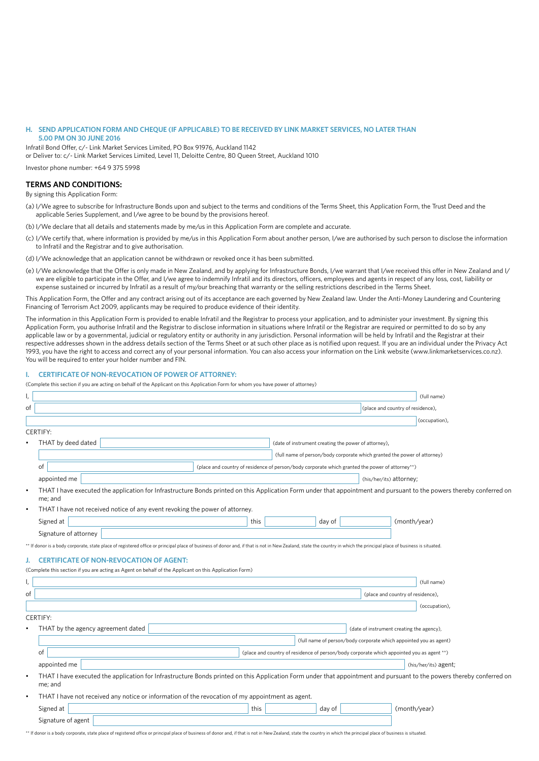#### **H. SEND APPLICATION FORM AND CHEQUE (IF APPLICABLE) TO BE RECEIVED BY LINK MARKET SERVICES, NO LATER THAN 5.00 PM ON 30 JUNE 2016**

Infratil Bond Offer, c/- Link Market Services Limited, PO Box 91976, Auckland 1142 or Deliver to: c/- Link Market Services Limited, Level 11, Deloitte Centre, 80 Queen Street, Auckland 1010

Investor phone number: +64 9 375 5998

#### **TERMS AND CONDITIONS:**

By signing this Application Form:

Signature of agent

- (a) I/We agree to subscribe for Infrastructure Bonds upon and subject to the terms and conditions of the Terms Sheet, this Application Form, the Trust Deed and the applicable Series Supplement, and I/we agree to be bound by the provisions hereof.
- (b) I/We declare that all details and statements made by me/us in this Application Form are complete and accurate.
- (c) I/We certify that, where information is provided by me/us in this Application Form about another person, I/we are authorised by such person to disclose the information to Infratil and the Registrar and to give authorisation.
- (d) I/We acknowledge that an application cannot be withdrawn or revoked once it has been submitted.
- (e) I/We acknowledge that the Offer is only made in New Zealand, and by applying for Infrastructure Bonds, I/we warrant that I/we received this offer in New Zealand and I/ we are eligible to participate in the Offer, and I/we agree to indemnify Infratil and its directors, officers, employees and agents in respect of any loss, cost, liability or expense sustained or incurred by Infratil as a result of my/our breaching that warranty or the selling restrictions described in the Terms Sheet.

This Application Form, the Offer and any contract arising out of its acceptance are each governed by New Zealand law. Under the Anti-Money Laundering and Countering Financing of Terrorism Act 2009, applicants may be required to produce evidence of their identity.

The information in this Application Form is provided to enable Infratil and the Registrar to process your application, and to administer your investment. By signing this Application Form, you authorise Infratil and the Registrar to disclose information in situations where Infratil or the Registrar are required or permitted to do so by any applicable law or by a governmental, judicial or regulatory entity or authority in any jurisdiction. Personal information will be held by Infratil and the Registrar at their respective addresses shown in the address details section of the Terms Sheet or at such other place as is notified upon request. If you are an individual under the Privacy Act 1993, you have the right to access and correct any of your personal information. You can also access your information on the Link website (www.linkmarketservices.co.nz). You will be required to enter your holder number and FIN.

#### **I. CERTIFICATE OF NON-REVOCATION OF POWER OF ATTORNEY:**

(Complete this section if you are acting on behalf of the Applicant on this Application Form for whom you have power of attorney)

| Ι, |                                                                                                                                                                                                                       |                                                                                                 |                                                      | (full name)                                                                                                                                                           |
|----|-----------------------------------------------------------------------------------------------------------------------------------------------------------------------------------------------------------------------|-------------------------------------------------------------------------------------------------|------------------------------------------------------|-----------------------------------------------------------------------------------------------------------------------------------------------------------------------|
| οf |                                                                                                                                                                                                                       |                                                                                                 |                                                      | (place and country of residence),                                                                                                                                     |
|    |                                                                                                                                                                                                                       |                                                                                                 |                                                      | (occupation),                                                                                                                                                         |
|    | <b>CERTIFY:</b>                                                                                                                                                                                                       |                                                                                                 |                                                      |                                                                                                                                                                       |
|    | THAT by deed dated                                                                                                                                                                                                    |                                                                                                 | (date of instrument creating the power of attorney), |                                                                                                                                                                       |
|    |                                                                                                                                                                                                                       |                                                                                                 |                                                      | (full name of person/body corporate which granted the power of attorney)                                                                                              |
|    | οf                                                                                                                                                                                                                    | (place and country of residence of person/body corporate which granted the power of attorney**) |                                                      |                                                                                                                                                                       |
|    | appointed me                                                                                                                                                                                                          |                                                                                                 |                                                      | (his/her/its) attorney;                                                                                                                                               |
|    | me; and                                                                                                                                                                                                               |                                                                                                 |                                                      | THAT I have executed the application for Infrastructure Bonds printed on this Application Form under that appointment and pursuant to the powers thereby conferred on |
| ٠  | THAT I have not received notice of any event revoking the power of attorney.                                                                                                                                          |                                                                                                 |                                                      |                                                                                                                                                                       |
|    | Signed at                                                                                                                                                                                                             | this                                                                                            | day of                                               | (month/year)                                                                                                                                                          |
|    | Signature of attorney                                                                                                                                                                                                 |                                                                                                 |                                                      |                                                                                                                                                                       |
|    | ** If donor is a body corporate, state place of registered office or principal place of business of donor and, if that is not in New Zealand, state the country in which the principal place of business is situated. |                                                                                                 |                                                      |                                                                                                                                                                       |
|    | <b>CERTIFICATE OF NON-REVOCATION OF AGENT:</b>                                                                                                                                                                        |                                                                                                 |                                                      |                                                                                                                                                                       |
|    | (Complete this section if you are acting as Agent on behalf of the Applicant on this Application Form)                                                                                                                |                                                                                                 |                                                      |                                                                                                                                                                       |
|    |                                                                                                                                                                                                                       |                                                                                                 |                                                      | (full name)                                                                                                                                                           |
| of |                                                                                                                                                                                                                       |                                                                                                 |                                                      | (place and country of residence),                                                                                                                                     |
|    |                                                                                                                                                                                                                       |                                                                                                 |                                                      | (occupation),                                                                                                                                                         |
|    | CERTIFY:                                                                                                                                                                                                              |                                                                                                 |                                                      |                                                                                                                                                                       |
|    | THAT by the agency agreement dated                                                                                                                                                                                    |                                                                                                 |                                                      | (date of instrument creating the agency),                                                                                                                             |
|    |                                                                                                                                                                                                                       |                                                                                                 |                                                      | (full name of person/body corporate which appointed you as agent)                                                                                                     |
|    | of                                                                                                                                                                                                                    |                                                                                                 |                                                      | (place and country of residence of person/body corporate which appointed you as agent **)                                                                             |
|    | appointed me                                                                                                                                                                                                          |                                                                                                 |                                                      | (his/her/its) agent;                                                                                                                                                  |
|    |                                                                                                                                                                                                                       |                                                                                                 |                                                      |                                                                                                                                                                       |
|    | me: and                                                                                                                                                                                                               |                                                                                                 |                                                      | THAT I have executed the application for Infrastructure Bonds printed on this Application Form under that appointment and pursuant to the powers thereby conferred on |
|    | THAT I have not received any notice or information of the revocation of my appointment as agent.                                                                                                                      |                                                                                                 |                                                      |                                                                                                                                                                       |
|    | Signed at                                                                                                                                                                                                             | this                                                                                            | day of                                               | (month/year)                                                                                                                                                          |

\*\* If donor is a body corporate, state place of registered office or principal place of business of donor and, if that is not in New Zealand, state the country in which the principal place of business is situated.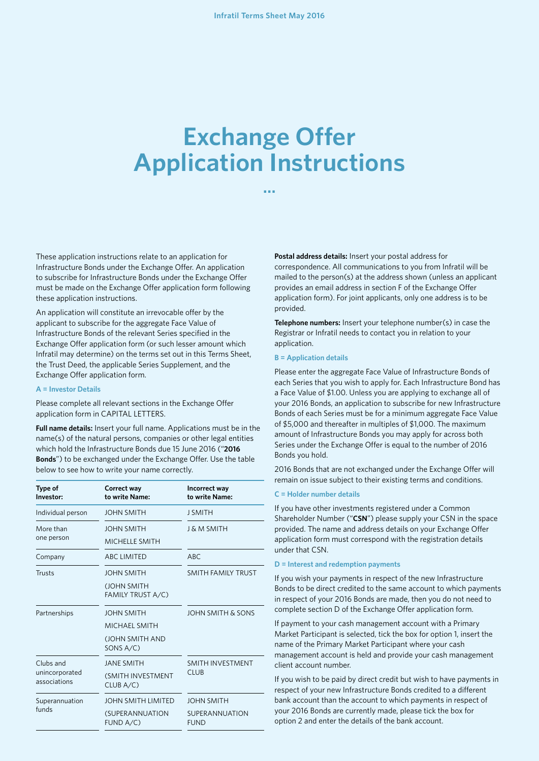## **Exchange Offer Application Instructions**

**…**

These application instructions relate to an application for Infrastructure Bonds under the Exchange Offer. An application to subscribe for Infrastructure Bonds under the Exchange Offer must be made on the Exchange Offer application form following these application instructions.

An application will constitute an irrevocable offer by the applicant to subscribe for the aggregate Face Value of Infrastructure Bonds of the relevant Series specified in the Exchange Offer application form (or such lesser amount which Infratil may determine) on the terms set out in this Terms Sheet, the Trust Deed, the applicable Series Supplement, and the Exchange Offer application form.

#### **A = Investor Details**

Please complete all relevant sections in the Exchange Offer application form in CAPITAL LETTERS.

**Full name details:** Insert your full name. Applications must be in the name(s) of the natural persons, companies or other legal entities which hold the Infrastructure Bonds due 15 June 2016 ("**2016 Bonds**") to be exchanged under the Exchange Offer. Use the table below to see how to write your name correctly.

| Type of<br>Investor:                        | Correct way<br>to write Name:                                      | Incorrect way<br>to write Name:                    |  |  |
|---------------------------------------------|--------------------------------------------------------------------|----------------------------------------------------|--|--|
| Individual person                           | <b>JOHN SMITH</b>                                                  | <b>J SMITH</b>                                     |  |  |
| More than<br>one person                     | <b>JOHN SMITH</b><br>MICHELLE SMITH                                | J & M SMITH                                        |  |  |
| Company                                     | <b>ABC LIMITED</b>                                                 | <b>ABC</b>                                         |  |  |
| Trusts                                      | <b>JOHN SMITH</b><br>(JOHN SMITH<br>FAMILY TRUST A/C)              | SMITH FAMILY TRUST                                 |  |  |
| Partnerships                                | <b>JOHN SMITH</b><br>MICHAEL SMITH<br>(JOHN SMITH AND<br>SONS A/C) | JOHN SMITH & SONS                                  |  |  |
| Clubs and<br>unincorporated<br>associations | <b>JANF SMITH</b><br><b>(SMITH INVESTMENT</b><br>CLUB A/C)         | SMITH INVESTMENT<br><b>CLUB</b>                    |  |  |
| Superannuation<br>funds                     | JOHN SMITH LIMITED<br><i><b>(SUPERANNUATION)</b></i><br>FUND A/C)  | <b>JOHN SMITH</b><br>SUPERANNUATION<br><b>FUND</b> |  |  |

**Postal address details:** Insert your postal address for correspondence. All communications to you from Infratil will be mailed to the person(s) at the address shown (unless an applicant provides an email address in section F of the Exchange Offer application form). For joint applicants, only one address is to be provided.

**Telephone numbers:** Insert your telephone number(s) in case the Registrar or Infratil needs to contact you in relation to your application.

#### **B = Application details**

Please enter the aggregate Face Value of Infrastructure Bonds of each Series that you wish to apply for. Each Infrastructure Bond has a Face Value of \$1.00. Unless you are applying to exchange all of your 2016 Bonds, an application to subscribe for new Infrastructure Bonds of each Series must be for a minimum aggregate Face Value of \$5,000 and thereafter in multiples of \$1,000. The maximum amount of Infrastructure Bonds you may apply for across both Series under the Exchange Offer is equal to the number of 2016 Bonds you hold.

2016 Bonds that are not exchanged under the Exchange Offer will remain on issue subject to their existing terms and conditions.

#### **C = Holder number details**

If you have other investments registered under a Common Shareholder Number ("**CSN**") please supply your CSN in the space provided. The name and address details on your Exchange Offer application form must correspond with the registration details under that CSN.

#### **D = Interest and redemption payments**

If you wish your payments in respect of the new Infrastructure Bonds to be direct credited to the same account to which payments in respect of your 2016 Bonds are made, then you do not need to complete section D of the Exchange Offer application form.

If payment to your cash management account with a Primary Market Participant is selected, tick the box for option 1, insert the name of the Primary Market Participant where your cash management account is held and provide your cash management client account number.

If you wish to be paid by direct credit but wish to have payments in respect of your new Infrastructure Bonds credited to a different bank account than the account to which payments in respect of your 2016 Bonds are currently made, please tick the box for option 2 and enter the details of the bank account.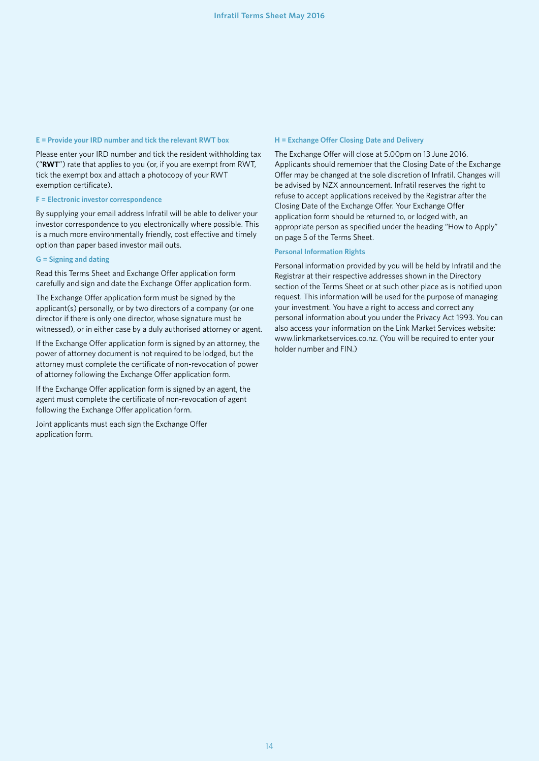#### **E = Provide your IRD number and tick the relevant RWT box**

Please enter your IRD number and tick the resident withholding tax ("**RWT**") rate that applies to you (or, if you are exempt from RWT, tick the exempt box and attach a photocopy of your RWT exemption certificate).

#### **F = Electronic investor correspondence**

By supplying your email address Infratil will be able to deliver your investor correspondence to you electronically where possible. This is a much more environmentally friendly, cost effective and timely option than paper based investor mail outs.

#### **G = Signing and dating**

Read this Terms Sheet and Exchange Offer application form carefully and sign and date the Exchange Offer application form.

The Exchange Offer application form must be signed by the applicant(s) personally, or by two directors of a company (or one director if there is only one director, whose signature must be witnessed), or in either case by a duly authorised attorney or agent.

If the Exchange Offer application form is signed by an attorney, the power of attorney document is not required to be lodged, but the attorney must complete the certificate of non-revocation of power of attorney following the Exchange Offer application form.

If the Exchange Offer application form is signed by an agent, the agent must complete the certificate of non-revocation of agent following the Exchange Offer application form.

Joint applicants must each sign the Exchange Offer application form.

#### **H = Exchange Offer Closing Date and Delivery**

The Exchange Offer will close at 5.00pm on 13 June 2016. Applicants should remember that the Closing Date of the Exchange Offer may be changed at the sole discretion of Infratil. Changes will be advised by NZX announcement. Infratil reserves the right to refuse to accept applications received by the Registrar after the Closing Date of the Exchange Offer. Your Exchange Offer application form should be returned to, or lodged with, an appropriate person as specified under the heading "How to Apply" on page 5 of the Terms Sheet.

### **Personal Information Rights**

Personal information provided by you will be held by Infratil and the Registrar at their respective addresses shown in the Directory section of the Terms Sheet or at such other place as is notified upon request. This information will be used for the purpose of managing your investment. You have a right to access and correct any personal information about you under the Privacy Act 1993. You can also access your information on the Link Market Services website: www.linkmarketservices.co.nz. (You will be required to enter your holder number and FIN.)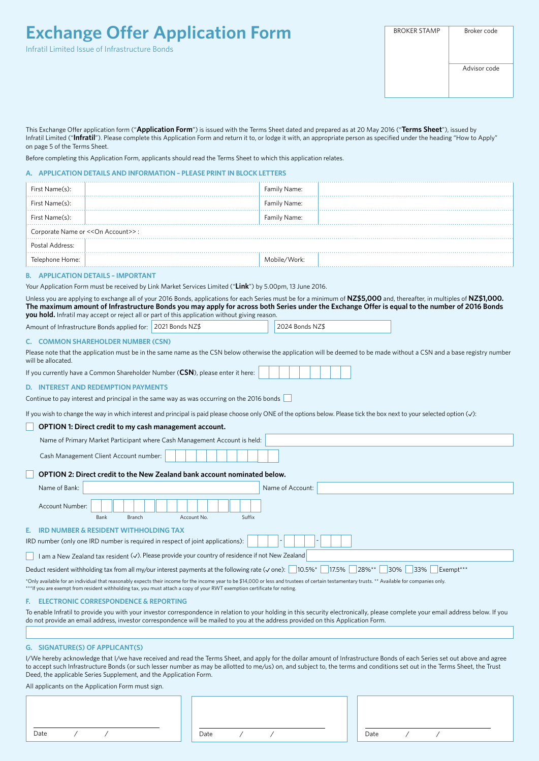## **Exchange Offer Application Form**

Infratil Limited Issue of Infrastructure Bonds

This Exchange Offer application form ("**Application Form**") is issued with the Terms Sheet dated and prepared as at 20 May 2016 ("**Terms Sheet**"), issued by Infratil Limited ("**Infratil**"). Please complete this Application Form and return it to, or lodge it with, an appropriate person as specified under the heading "How to Apply" on page 5 of the Terms Sheet.

Before completing this Application Form, applicants should read the Terms Sheet to which this application relates.

#### **A. APPLICATION DETAILS AND INFORMATION – PLEASE PRINT IN BLOCK LETTERS**

| First Name(s):  |                                    | Family Name: |  |
|-----------------|------------------------------------|--------------|--|
| First Name(s):  |                                    | Family Name: |  |
| First Name(s):  |                                    | Family Name: |  |
|                 | Corporate Name or << On Account>>: |              |  |
| Postal Address: |                                    |              |  |
| Telephone Home: |                                    | Mobile/Work: |  |
|                 |                                    |              |  |

#### **B. APPLICATION DETAILS – IMPORTANT**

Your Application Form must be received by Link Market Services Limited ("**Link**") by 5.00pm, 13 June 2016.

Unless you are applying to exchange all of your 2016 Bonds, applications for each Series must be for a minimum of **NZ\$5,000** and, thereafter, in multiples of **NZ\$1,000. The maximum amount of Infrastructure Bonds you may apply for across both Series under the Exchange Offer is equal to the number of 2016 Bonds you hold.** Infratil may accept or reject all or part of this application without giving reason.

| Amount of Infrastructure Bonds applied for: 2021 Bonds NZ\$ |  | 2024 Bonds NZ\$ |  |
|-------------------------------------------------------------|--|-----------------|--|
|                                                             |  |                 |  |

#### **C. COMMON SHAREHOLDER NUMBER (CSN)**

Please note that the application must be in the same name as the CSN below otherwise the application will be deemed to be made without a CSN and a base registry number will be allocated.

| If you currently have a Common Shareholder Number (CSN), please enter it here: |  |  |  |  |  |  |  |  |  |
|--------------------------------------------------------------------------------|--|--|--|--|--|--|--|--|--|
|--------------------------------------------------------------------------------|--|--|--|--|--|--|--|--|--|

#### **D. INTEREST AND REDEMPTION PAYMENTS**

Continue to pay interest and principal in the same way as was occurring on the 2016 bonds

If you wish to change the way in which interest and principal is paid please choose only ONE of the options below. Please tick the box next to your selected option ( $\vee$ ):

#### **OPTION 1: Direct credit to my cash management account.**

| Name of Primary Market Participant where Cash Management Account is held: |                  |
|---------------------------------------------------------------------------|------------------|
| Cash Management Client Account number:                                    |                  |
| OPTION 2: Direct credit to the New Zealand bank account nominated below.  |                  |
| Name of Bank:                                                             | Name of Account: |

#### **E. IRD NUMBER & RESIDENT WITHHOLDING TAX**

Account Number:

IRD number (only one IRD number is required in respect of joint applications):

I am a New Zealand tax resident ( $\vee$ ). Please provide your country of residence if not New Zealand

Bank Branch Account No. Suffix

Deduct resident withholding tax from all my/our interest payments at the following rate ( $\vee$  one): 10.5%\* 17.5% 28%\*\* 30% 33% Exempt\*\*\*

\*Only available for an individual that reasonably expects their income for the income year to be \$14,000 or less and trustees of certain testamentary trusts. \*\* Available for companies only.

\*\*\*If you are exempt from resident withholding tax, you must attach a copy of your RWT exemption certificate for noting.

#### **F. ELECTRONIC CORRESPONDENCE & REPORTING**

To enable Infratil to provide you with your investor correspondence in relation to your holding in this security electronically, please complete your email address below. If you do not provide an email address, investor correspondence will be mailed to you at the address provided on this Application Form.

#### **G. SIGNATURE(S) OF APPLICANT(S)**

I/We hereby acknowledge that I/we have received and read the Terms Sheet, and apply for the dollar amount of Infrastructure Bonds of each Series set out above and agree to accept such Infrastructure Bonds (or such lesser number as may be allotted to me/us) on, and subject to, the terms and conditions set out in the Terms Sheet, the Trust Deed, the applicable Series Supplement, and the Application Form.

All applicants on the Application Form must sign.

| Date |  |  |
|------|--|--|

| Date<br>$\sqrt{2}$ | Date | Date |  |
|--------------------|------|------|--|

| Date |  |  |
|------|--|--|